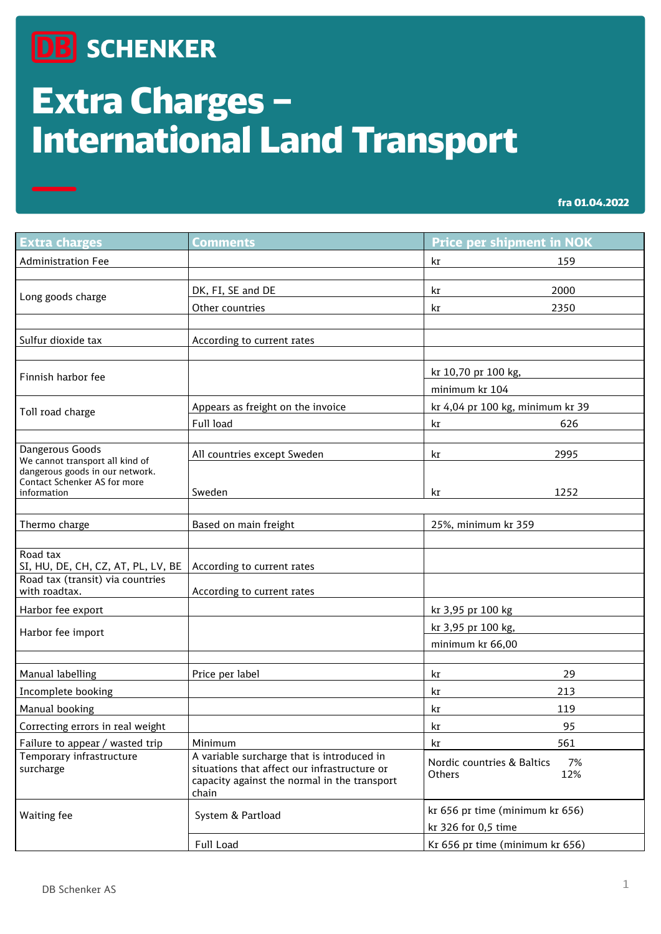## **DB** SCHENKER

## Extra Charges – International Land Transport

| <b>Extra charges</b>                                               | <b>Comments</b>                                                                                                                                     | <b>Price per shipment in NOK</b>                       |
|--------------------------------------------------------------------|-----------------------------------------------------------------------------------------------------------------------------------------------------|--------------------------------------------------------|
| <b>Administration Fee</b>                                          |                                                                                                                                                     | kr<br>159                                              |
|                                                                    |                                                                                                                                                     |                                                        |
| Long goods charge                                                  | DK, FI, SE and DE                                                                                                                                   | 2000<br>kr                                             |
|                                                                    | Other countries                                                                                                                                     | 2350<br>kr                                             |
|                                                                    |                                                                                                                                                     |                                                        |
| Sulfur dioxide tax                                                 | According to current rates                                                                                                                          |                                                        |
|                                                                    |                                                                                                                                                     |                                                        |
| Finnish harbor fee                                                 |                                                                                                                                                     | kr 10,70 pr 100 kg,                                    |
|                                                                    |                                                                                                                                                     | minimum kr 104                                         |
| Toll road charge                                                   | Appears as freight on the invoice                                                                                                                   | kr 4,04 pr 100 kg, minimum kr 39                       |
|                                                                    | Full load                                                                                                                                           | 626<br>kr                                              |
| Dangerous Goods                                                    |                                                                                                                                                     | 2995                                                   |
| We cannot transport all kind of<br>dangerous goods in our network. | All countries except Sweden                                                                                                                         | kr                                                     |
| Contact Schenker AS for more                                       |                                                                                                                                                     |                                                        |
| information                                                        | Sweden                                                                                                                                              | 1252<br>kr                                             |
|                                                                    |                                                                                                                                                     |                                                        |
| Thermo charge                                                      | Based on main freight                                                                                                                               | 25%, minimum kr 359                                    |
| Road tax                                                           |                                                                                                                                                     |                                                        |
| SI, HU, DE, CH, CZ, AT, PL, LV, BE                                 | According to current rates                                                                                                                          |                                                        |
| Road tax (transit) via countries<br>with roadtax.                  | According to current rates                                                                                                                          |                                                        |
|                                                                    |                                                                                                                                                     | kr 3,95 pr 100 kg                                      |
| Harbor fee export<br>Harbor fee import                             |                                                                                                                                                     | kr 3,95 pr 100 kg,                                     |
|                                                                    |                                                                                                                                                     | minimum kr 66,00                                       |
|                                                                    |                                                                                                                                                     |                                                        |
| Manual labelling                                                   | Price per label                                                                                                                                     | 29<br>kr                                               |
| Incomplete booking                                                 |                                                                                                                                                     | 213<br>kr                                              |
| Manual booking                                                     |                                                                                                                                                     | 119<br>kr                                              |
| Correcting errors in real weight                                   |                                                                                                                                                     | 95<br>kr                                               |
| Failure to appear / wasted trip                                    | Minimum                                                                                                                                             | 561<br>kr                                              |
| Temporary infrastructure<br>surcharge                              | A variable surcharge that is introduced in<br>situations that affect our infrastructure or<br>capacity against the normal in the transport<br>chain | Nordic countries & Baltics<br>7%<br>12%<br>Others      |
| Waiting fee                                                        | System & Partload                                                                                                                                   | kr 656 pr time (minimum kr 656)<br>kr 326 for 0,5 time |
|                                                                    | Full Load                                                                                                                                           | Kr 656 pr time (minimum kr 656)                        |